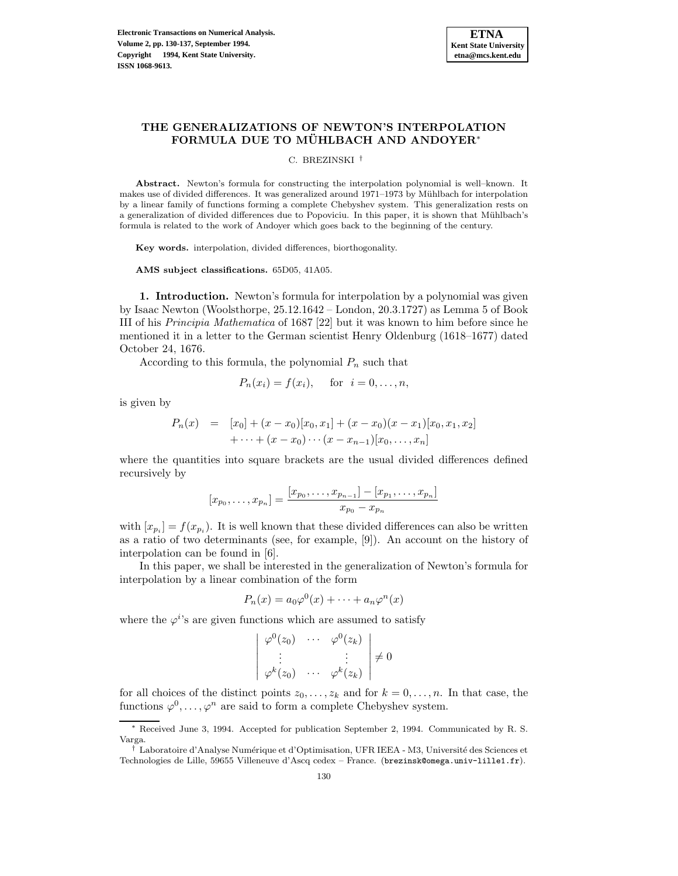

# **THE GENERALIZATIONS OF NEWTON'S INTERPOLATION FORMULA DUE TO MUHLBACH AND ANDOYER ¨** <sup>∗</sup>

C. BREZINSKI †

**Abstract.** Newton's formula for constructing the interpolation polynomial is well–known. It makes use of divided differences. It was generalized around 1971–1973 by Mühlbach for interpolation by a linear family of functions forming a complete Chebyshev system. This generalization rests on a generalization of divided differences due to Popoviciu. In this paper, it is shown that Mühlbach's formula is related to the work of Andoyer which goes back to the beginning of the century.

**Key words.** interpolation, divided differences, biorthogonality.

**AMS subject classifications.** 65D05, 41A05.

**1. Introduction.** Newton's formula for interpolation by a polynomial was given by Isaac Newton (Woolsthorpe, 25.12.1642 – London, 20.3.1727) as Lemma 5 of Book III of his Principia Mathematica of 1687 [22] but it was known to him before since he mentioned it in a letter to the German scientist Henry Oldenburg (1618–1677) dated October 24, 1676.

According to this formula, the polynomial  $P_n$  such that

$$
P_n(x_i) = f(x_i), \quad \text{for} \ \ i = 0, \dots, n,
$$

is given by

$$
P_n(x) = [x_0] + (x - x_0)[x_0, x_1] + (x - x_0)(x - x_1)[x_0, x_1, x_2]
$$
  
 
$$
+ \cdots + (x - x_0) \cdots (x - x_{n-1})[x_0, \ldots, x_n]
$$

where the quantities into square brackets are the usual divided differences defined recursively by

$$
[x_{p_0},\ldots,x_{p_n}]=\frac{[x_{p_0},\ldots,x_{p_{n-1}}]-[x_{p_1},\ldots,x_{p_n}]}{x_{p_0}-x_{p_n}}
$$

with  $[x_{p_i}]=f(x_{p_i})$ . It is well known that these divided differences can also be written as a ratio of two determinants (see, for example, [9]). An account on the history of interpolation can be found in [6].

In this paper, we shall be interested in the generalization of Newton's formula for interpolation by a linear combination of the form

$$
P_n(x) = a_0 \varphi^0(x) + \dots + a_n \varphi^n(x)
$$

where the  $\varphi^{i}$ 's are given functions which are assumed to satisfy

$$
\left| \begin{array}{ccc} \varphi^{0}(z_{0}) & \cdots & \varphi^{0}(z_{k}) \\ \vdots & & \vdots \\ \varphi^{k}(z_{0}) & \cdots & \varphi^{k}(z_{k}) \end{array} \right| \neq 0
$$

for all choices of the distinct points  $z_0, \ldots, z_k$  and for  $k = 0, \ldots, n$ . In that case, the functions  $\varphi^0, \ldots, \varphi^n$  are said to form a complete Chebyshev system.

<sup>∗</sup> Received June 3, 1994. Accepted for publication September 2, 1994. Communicated by R. S. Varga.

<sup>&</sup>lt;sup>†</sup> Laboratoire d'Analyse Numérique et d'Optimisation, UFR IEEA - M3, Université des Sciences et Technologies de Lille, 59655 Villeneuve d'Ascq cedex – France. (brezinsk@omega.univ-lille1.fr).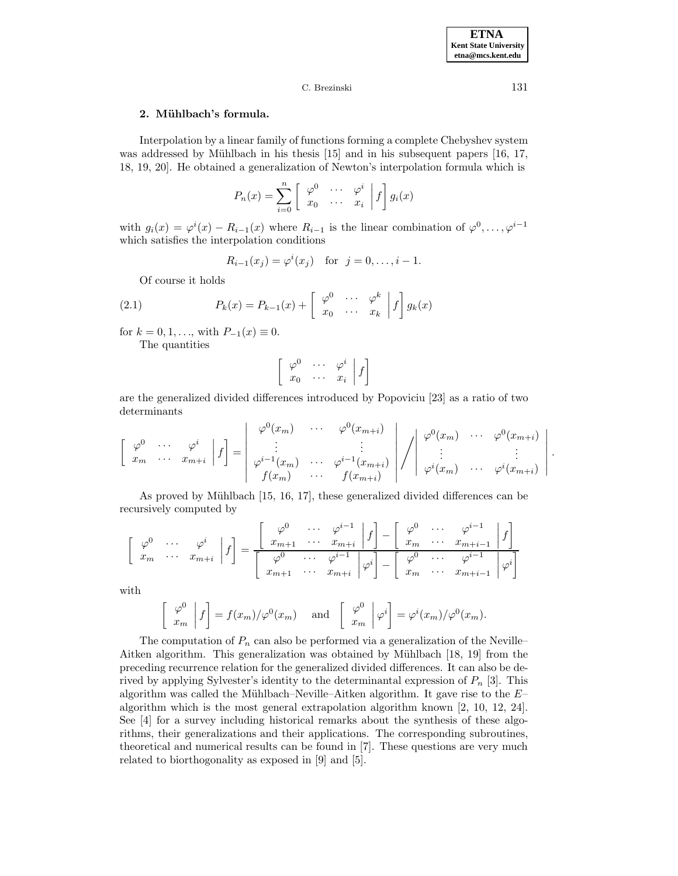#### **2. M¨uhlbach's formula.**

Interpolation by a linear family of functions forming a complete Chebyshev system was addressed by Mühlbach in his thesis  $|15|$  and in his subsequent papers  $|16, 17,$ 18, 19, 20]. He obtained a generalization of Newton's interpolation formula which is

$$
P_n(x) = \sum_{i=0}^n \begin{bmatrix} \varphi^0 & \cdots & \varphi^i \\ x_0 & \cdots & x_i \end{bmatrix} f \, g_i(x)
$$

with  $g_i(x) = \varphi^i(x) - R_{i-1}(x)$  where  $R_{i-1}$  is the linear combination of  $\varphi^0, \ldots, \varphi^{i-1}$ which satisfies the interpolation conditions

$$
R_{i-1}(x_j) = \varphi^i(x_j)
$$
 for  $j = 0, ..., i - 1$ .

Of course it holds

(2.1) 
$$
P_k(x) = P_{k-1}(x) + \begin{bmatrix} \varphi^0 & \cdots & \varphi^k \\ x_0 & \cdots & x_k \end{bmatrix} f \Big] g_k(x)
$$

for  $k = 0, 1, \ldots$ , with  $P_{-1}(x) \equiv 0$ .

The quantities

$$
\left[\begin{array}{ccc} \varphi^0 & \cdots & \varphi^i \\ x_0 & \cdots & x_i \end{array}\bigg| f\right]
$$

are the generalized divided differences introduced by Popoviciu [23] as a ratio of two determinants

$$
\begin{bmatrix}\n\varphi^0 & \cdots & \varphi^i \\
x_m & \cdots & x_{m+i}\n\end{bmatrix} f = \begin{bmatrix}\n\varphi^0(x_m) & \cdots & \varphi^0(x_{m+i}) \\
\vdots & & \vdots \\
\varphi^{i-1}(x_m) & \cdots & \varphi^{i-1}(x_{m+i}) \\
f(x_m) & \cdots & f(x_{m+i})\n\end{bmatrix} / \begin{bmatrix}\n\varphi^0(x_m) & \cdots & \varphi^0(x_{m+i}) \\
\vdots & & \vdots \\
\varphi^i(x_m) & \cdots & \varphi^i(x_{m+i})\n\end{bmatrix}
$$

As proved by Mühlbach [15, 16, 17], these generalized divided differences can be recursively computed by

$$
\begin{bmatrix}\n\varphi^0 & \cdots & \varphi^i \\
x_m & \cdots & x_{m+i}\n\end{bmatrix} f = \frac{\begin{bmatrix}\n\varphi^0 & \cdots & \varphi^{i-1} \\
x_{m+1} & \cdots & x_{m+i}\n\end{bmatrix} f - \begin{bmatrix}\n\varphi^0 & \cdots & \varphi^{i-1} \\
x_m & \cdots & x_{m+i-1}\n\end{bmatrix} f}{\begin{bmatrix}\n\varphi^0 & \cdots & \varphi^{i-1} \\
x_{m+1} & \cdots & x_{m+i}\n\end{bmatrix} \varphi^i} - \begin{bmatrix}\n\varphi^0 & \cdots & \varphi^{i-1} \\
x_m & \cdots & x_{m+i-1}\n\end{bmatrix} \varphi^i}
$$

with

$$
\begin{bmatrix} \varphi^0 \\ x_m \end{bmatrix} f = f(x_m) / \varphi^0(x_m) \quad \text{and} \quad \begin{bmatrix} \varphi^0 \\ x_m \end{bmatrix} \varphi^i = \varphi^i(x_m) / \varphi^0(x_m).
$$

The computation of  $P_n$  can also be performed via a generalization of the Neville– Aitken algorithm. This generalization was obtained by Mühlbach  $[18, 19]$  from the preceding recurrence relation for the generalized divided differences. It can also be derived by applying Sylvester's identity to the determinantal expression of  $P_n$  [3]. This algorithm was called the Mühlbach–Neville–Aitken algorithm. It gave rise to the  $E$ algorithm which is the most general extrapolation algorithm known [2, 10, 12, 24]. See [4] for a survey including historical remarks about the synthesis of these algorithms, their generalizations and their applications. The corresponding subroutines, theoretical and numerical results can be found in [7]. These questions are very much related to biorthogonality as exposed in [9] and [5].

.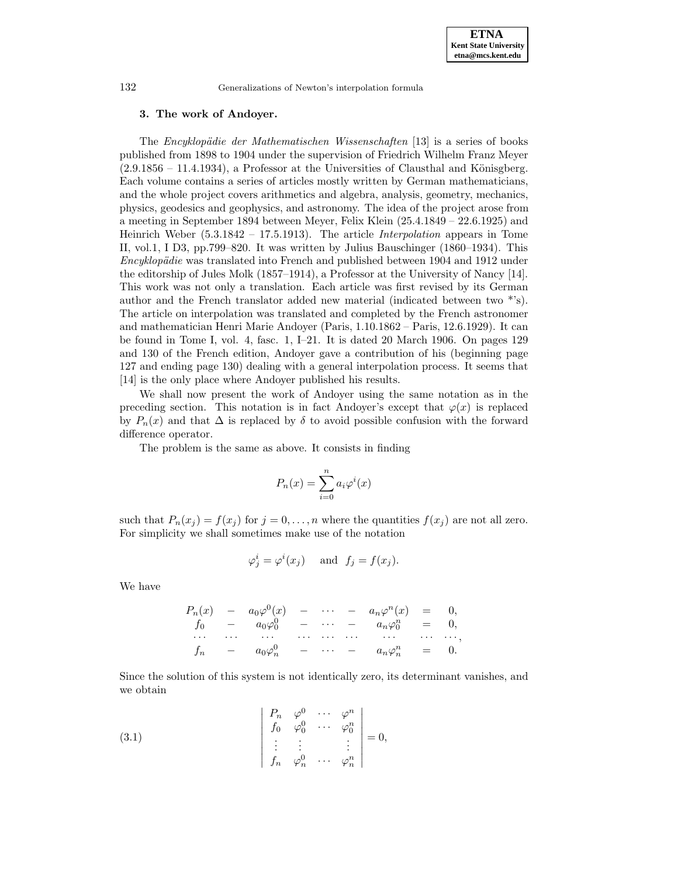132 Generalizations of Newton's interpolation formula

### **3. The work of Andoyer.**

The *Encyklopädie der Mathematischen Wissenschaften* [13] is a series of books published from 1898 to 1904 under the supervision of Friedrich Wilhelm Franz Meyer  $(2.9.1856 - 11.4.1934)$ , a Professor at the Universities of Clausthal and Könisgberg. Each volume contains a series of articles mostly written by German mathematicians, and the whole project covers arithmetics and algebra, analysis, geometry, mechanics, physics, geodesics and geophysics, and astronomy. The idea of the project arose from a meeting in September 1894 between Meyer, Felix Klein (25.4.1849 – 22.6.1925) and Heinrich Weber  $(5.3.1842 - 17.5.1913)$ . The article *Interpolation* appears in Tome II, vol.1, I D3, pp.799–820. It was written by Julius Bauschinger (1860–1934). This Encyklopädie was translated into French and published between 1904 and 1912 under the editorship of Jules Molk (1857–1914), a Professor at the University of Nancy [14]. This work was not only a translation. Each article was first revised by its German author and the French translator added new material (indicated between two \*'s). The article on interpolation was translated and completed by the French astronomer and mathematician Henri Marie Andoyer (Paris, 1.10.1862 – Paris, 12.6.1929). It can be found in Tome I, vol. 4, fasc. 1, I–21. It is dated 20 March 1906. On pages 129 and 130 of the French edition, Andoyer gave a contribution of his (beginning page 127 and ending page 130) dealing with a general interpolation process. It seems that [14] is the only place where Andoyer published his results.

We shall now present the work of Andoyer using the same notation as in the preceding section. This notation is in fact Andoyer's except that  $\varphi(x)$  is replaced by  $P_n(x)$  and that  $\Delta$  is replaced by  $\delta$  to avoid possible confusion with the forward difference operator.

The problem is the same as above. It consists in finding

$$
P_n(x) = \sum_{i=0}^n a_i \varphi^i(x)
$$

such that  $P_n(x_i) = f(x_i)$  for  $j = 0, \ldots, n$  where the quantities  $f(x_i)$  are not all zero. For simplicity we shall sometimes make use of the notation

$$
\varphi_j^i = \varphi^i(x_j)
$$
 and  $f_j = f(x_j)$ .

We have

$$
P_n(x) - a_0 \varphi^0(x) - \cdots - a_n \varphi^n(x) = 0,
$$
  
\n
$$
f_0 - a_0 \varphi^0_0 - \cdots - a_n \varphi^n_0 = 0,
$$
  
\n... ... ... ... ... ... ... ... ...  
\n
$$
f_n - a_0 \varphi^0_n - \cdots - a_n \varphi^n_n = 0.
$$

Since the solution of this system is not identically zero, its determinant vanishes, and we obtain

(3.1) 
$$
\begin{vmatrix} P_n & \varphi^0 & \cdots & \varphi^n \\ f_0 & \varphi_0^0 & \cdots & \varphi_0^n \\ \vdots & \vdots & & \vdots \\ f_n & \varphi_n^0 & \cdots & \varphi_n^n \end{vmatrix} = 0,
$$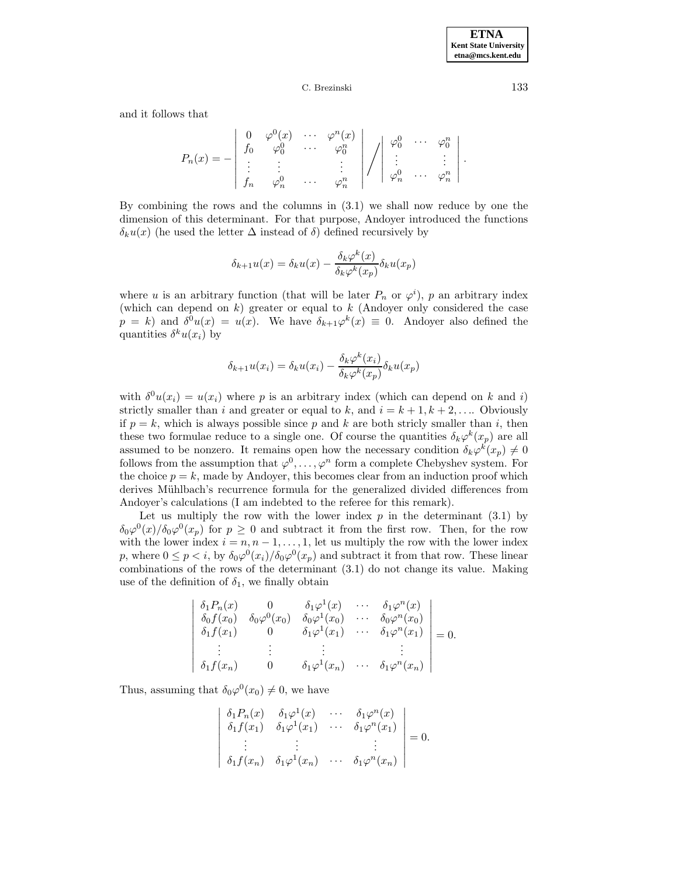and it follows that

$$
P_n(x) = -\begin{vmatrix} 0 & \varphi^0(x) & \cdots & \varphi^n(x) \\ f_0 & \varphi_0^0 & \cdots & \varphi_0^n \\ \vdots & \vdots & & \vdots \\ f_n & \varphi_n^0 & \cdots & \varphi_n^n \end{vmatrix} / \begin{vmatrix} \varphi_0^0 & \cdots & \varphi_0^n \\ \vdots & & \vdots \\ \varphi_n^0 & \cdots & \varphi_n^n \end{vmatrix}.
$$

By combining the rows and the columns in (3.1) we shall now reduce by one the dimension of this determinant. For that purpose, Andoyer introduced the functions  $\delta_k u(x)$  (he used the letter  $\Delta$  instead of  $\delta$ ) defined recursively by

$$
\delta_{k+1}u(x) = \delta_k u(x) - \frac{\delta_k \varphi^k(x)}{\delta_k \varphi^k(x_p)} \delta_k u(x_p)
$$

where u is an arbitrary function (that will be later  $P_n$  or  $\varphi^i$ ), p an arbitrary index (which can depend on  $k$ ) greater or equal to  $k$  (Andoyer only considered the case  $p = k$ ) and  $\delta^0 u(x) = u(x)$ . We have  $\delta_{k+1} \varphi^k(x) \equiv 0$ . Andoyer also defined the quantities  $\delta^k u(x_i)$  by

$$
\delta_{k+1}u(x_i) = \delta_k u(x_i) - \frac{\delta_k \varphi^k(x_i)}{\delta_k \varphi^k(x_p)} \delta_k u(x_p)
$$

with  $\delta^0 u(x_i) = u(x_i)$  where p is an arbitrary index (which can depend on k and i) strictly smaller than i and greater or equal to k, and  $i = k + 1, k + 2, \ldots$  Obviously if  $p = k$ , which is always possible since p and k are both stricly smaller than i, then these two formulae reduce to a single one. Of course the quantities  $\delta_k \varphi^k(x_p)$  are all assumed to be nonzero. It remains open how the necessary condition  $\delta_k \varphi^k(x_p) \neq 0$ follows from the assumption that  $\varphi^0, \ldots, \varphi^n$  form a complete Chebyshev system. For the choice  $p = k$ , made by Andoyer, this becomes clear from an induction proof which derives Mühlbach's recurrence formula for the generalized divided differences from Andoyer's calculations (I am indebted to the referee for this remark).

Let us multiply the row with the lower index  $p$  in the determinant (3.1) by  $\delta_0\varphi^0(x)/\delta_0\varphi^0(x_p)$  for  $p\geq 0$  and subtract it from the first row. Then, for the row with the lower index  $i = n, n - 1, \ldots, 1$ , let us multiply the row with the lower index p, where  $0 \le p \le i$ , by  $\delta_0 \varphi^0(x_i) / \delta_0 \varphi^0(x_p)$  and subtract it from that row. These linear combinations of the rows of the determinant (3.1) do not change its value. Making use of the definition of  $\delta_1$ , we finally obtain

$$
\begin{vmatrix}\n\delta_1 P_n(x) & 0 & \delta_1 \varphi^1(x) & \cdots & \delta_1 \varphi^n(x) \\
\delta_0 f(x_0) & \delta_0 \varphi^0(x_0) & \delta_0 \varphi^1(x_0) & \cdots & \delta_0 \varphi^n(x_0) \\
\delta_1 f(x_1) & 0 & \delta_1 \varphi^1(x_1) & \cdots & \delta_1 \varphi^n(x_1) \\
\vdots & \vdots & \vdots & \vdots & \vdots \\
\delta_1 f(x_n) & 0 & \delta_1 \varphi^1(x_n) & \cdots & \delta_1 \varphi^n(x_n)\n\end{vmatrix} = 0.
$$

Thus, assuming that  $\delta_0\varphi^0(x_0) \neq 0$ , we have

$$
\begin{vmatrix}\n\delta_1 P_n(x) & \delta_1 \varphi^1(x) & \cdots & \delta_1 \varphi^n(x) \\
\delta_1 f(x_1) & \delta_1 \varphi^1(x_1) & \cdots & \delta_1 \varphi^n(x_1) \\
\vdots & \vdots & & \vdots \\
\delta_1 f(x_n) & \delta_1 \varphi^1(x_n) & \cdots & \delta_1 \varphi^n(x_n)\n\end{vmatrix} = 0.
$$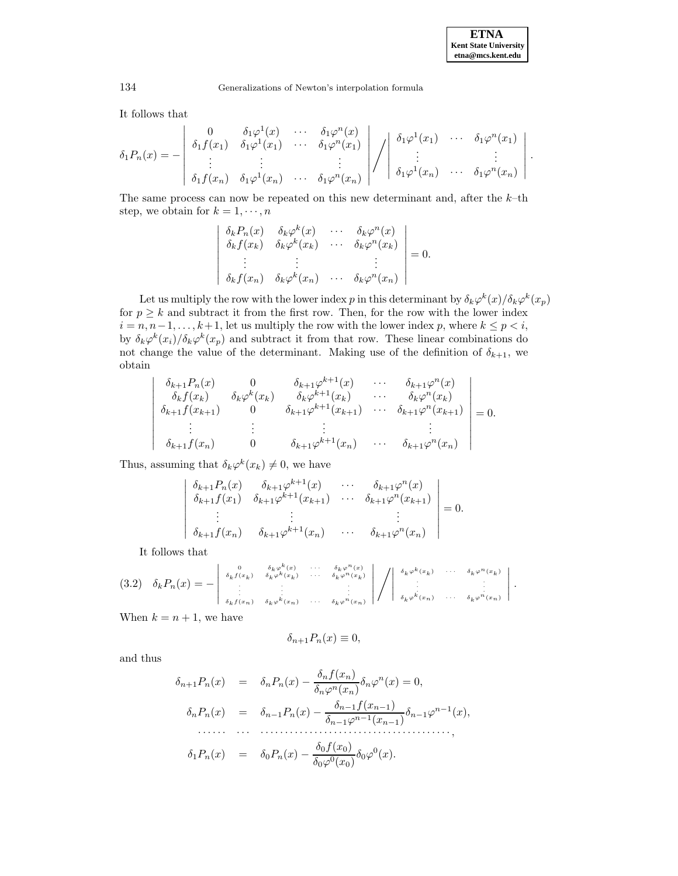134 Generalizations of Newton's interpolation formula

It follows that

 $\overline{\phantom{a}}$  $\overline{\phantom{a}}$  $\overline{\phantom{a}}$  $\downarrow$  $\mathsf{I}$  $\overline{\phantom{a}}$  $\overline{\phantom{a}}$  $\overline{\phantom{a}}$  $\overline{\phantom{a}}$  $\overline{\phantom{a}}$  $\begin{array}{c} \end{array}$ 

$$
\delta_1 P_n(x) = -\begin{vmatrix}\n0 & \delta_1 \varphi^1(x) & \cdots & \delta_1 \varphi^n(x) \\
\delta_1 f(x_1) & \delta_1 \varphi^1(x_1) & \cdots & \delta_1 \varphi^n(x_1) \\
\vdots & \vdots & & \vdots \\
\delta_1 f(x_n) & \delta_1 \varphi^1(x_n) & \cdots & \delta_1 \varphi^n(x_n)\n\end{vmatrix} / \begin{vmatrix}\n\delta_1 \varphi^1(x_1) & \cdots & \delta_1 \varphi^n(x_1) \\
\vdots & & \vdots \\
\delta_1 \varphi^1(x_n) & \cdots & \delta_1 \varphi^n(x_n)\n\end{vmatrix}.
$$

The same process can now be repeated on this new determinant and, after the  $k$ -th step, we obtain for  $k = 1, \dots, n$ 

$$
\begin{vmatrix}\n\delta_k P_n(x) & \delta_k \varphi^k(x) & \cdots & \delta_k \varphi^n(x) \\
\delta_k f(x_k) & \delta_k \varphi^k(x_k) & \cdots & \delta_k \varphi^n(x_k) \\
\vdots & \vdots & & \vdots \\
\delta_k f(x_n) & \delta_k \varphi^k(x_n) & \cdots & \delta_k \varphi^n(x_n)\n\end{vmatrix} = 0.
$$

Let us multiply the row with the lower index p in this determinant by  $\delta_k \varphi^k(x)/\delta_k \varphi^k(x_p)$ for  $p \geq k$  and subtract it from the first row. Then, for the row with the lower index  $i = n, n-1, \ldots, k+1$ , let us multiply the row with the lower index p, where  $k \le p < i$ , by  $\delta_k \varphi^k(x_i)/\delta_k \varphi^k(x_p)$  and subtract it from that row. These linear combinations do not change the value of the determinant. Making use of the definition of  $\delta_{k+1}$ , we obtain

$$
\begin{array}{c}\n\delta_{k+1}P_n(x) & 0 & \delta_{k+1}\varphi^{k+1}(x) & \cdots & \delta_{k+1}\varphi^n(x) \\
\delta_k f(x_k) & \delta_k\varphi^k(x_k) & \delta_k\varphi^{k+1}(x_k) & \cdots & \delta_k\varphi^n(x_k) \\
\delta_{k+1}f(x_{k+1}) & 0 & \delta_{k+1}\varphi^{k+1}(x_{k+1}) & \cdots & \delta_{k+1}\varphi^n(x_{k+1}) \\
\vdots & \vdots & \vdots & \vdots \\
\delta_{k+1}f(x_n) & 0 & \delta_{k+1}\varphi^{k+1}(x_n) & \cdots & \delta_{k+1}\varphi^n(x_n)\n\end{array}\n=\n0.
$$

Thus, assuming that  $\delta_k \varphi^k(x_k) \neq 0$ , we have

$$
\begin{vmatrix}\n\delta_{k+1}P_n(x) & \delta_{k+1}\varphi^{k+1}(x) & \cdots & \delta_{k+1}\varphi^n(x) \\
\delta_{k+1}f(x_1) & \delta_{k+1}\varphi^{k+1}(x_{k+1}) & \cdots & \delta_{k+1}\varphi^n(x_{k+1}) \\
\vdots & \vdots & & \vdots \\
\delta_{k+1}f(x_n) & \delta_{k+1}\varphi^{k+1}(x_n) & \cdots & \delta_{k+1}\varphi^n(x_n)\n\end{vmatrix} = 0.
$$

It follows that

$$
(3.2) \quad \delta_k P_n(x) = - \begin{vmatrix} 0 & \delta_k \varphi^k(x) & \cdots & \delta_k \varphi^n(x) \\ \delta_k f(x_k) & \delta_k \varphi^k(x_k) & \cdots & \delta_k \varphi^n(x_k) \\ \vdots & \vdots & & \vdots \\ \delta_k f(x_n) & \delta_k \varphi^k(x_n) & \cdots & \delta_k \varphi^n(x_n) \end{vmatrix} / \begin{vmatrix} \delta_k \varphi^k(x_k) & \cdots & \delta_k \varphi^n(x_k) \\ \vdots & & \vdots \\ \delta_k \varphi^k(x_n) & \cdots & \delta_k \varphi^n(x_n) \end{vmatrix}.
$$

When  $k = n + 1$ , we have

$$
\delta_{n+1} P_n(x) \equiv 0,
$$

and thus

$$
\delta_{n+1}P_n(x) = \delta_n P_n(x) - \frac{\delta_n f(x_n)}{\delta_n \varphi^n(x_n)} \delta_n \varphi^n(x) = 0,
$$
  
\n
$$
\delta_n P_n(x) = \delta_{n-1} P_n(x) - \frac{\delta_{n-1} f(x_{n-1})}{\delta_{n-1} \varphi^{n-1}(x_{n-1})} \delta_{n-1} \varphi^{n-1}(x),
$$
  
\n
$$
\delta_1 P_n(x) = \delta_0 P_n(x) - \frac{\delta_0 f(x_0)}{\delta_0 \varphi^0(x_0)} \delta_0 \varphi^0(x).
$$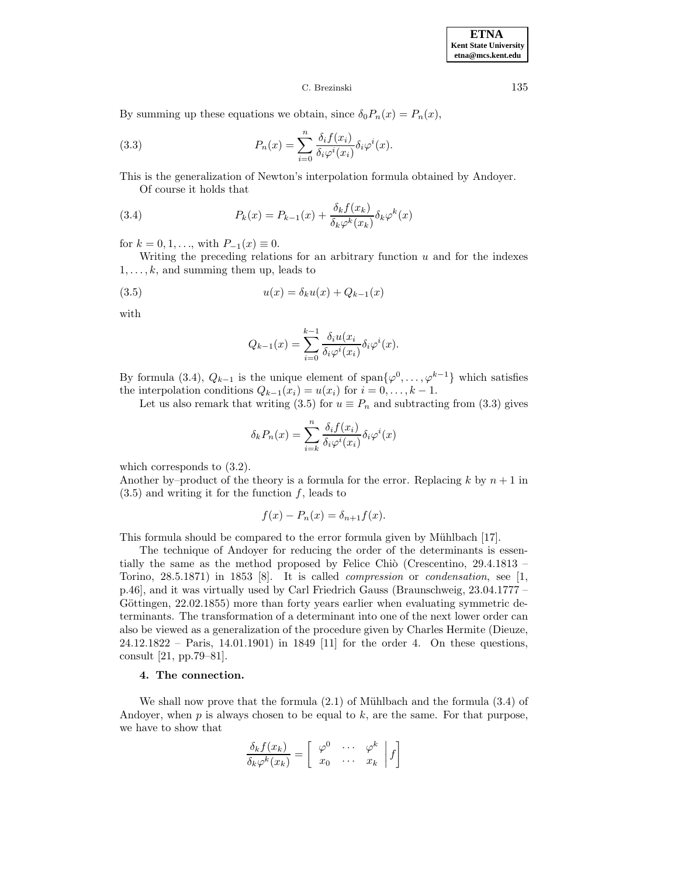By summing up these equations we obtain, since  $\delta_0 P_n(x) = P_n(x)$ ,

(3.3) 
$$
P_n(x) = \sum_{i=0}^n \frac{\delta_i f(x_i)}{\delta_i \varphi^i(x_i)} \delta_i \varphi^i(x).
$$

This is the generalization of Newton's interpolation formula obtained by Andoyer.

Of course it holds that

(3.4) 
$$
P_k(x) = P_{k-1}(x) + \frac{\delta_k f(x_k)}{\delta_k \varphi^k(x_k)} \delta_k \varphi^k(x)
$$

for  $k = 0, 1, \ldots$ , with  $P_{-1}(x) \equiv 0$ .

Writing the preceding relations for an arbitrary function  $u$  and for the indexes  $1, \ldots, k$ , and summing them up, leads to

(3.5) 
$$
u(x) = \delta_k u(x) + Q_{k-1}(x)
$$

with

$$
Q_{k-1}(x) = \sum_{i=0}^{k-1} \frac{\delta_i u(x_i)}{\delta_i \varphi^i(x_i)} \delta_i \varphi^i(x).
$$

By formula (3.4),  $Q_{k-1}$  is the unique element of span $\{\varphi^0,\ldots,\varphi^{k-1}\}\$  which satisfies the interpolation conditions  $Q_{k-1}(x_i) = u(x_i)$  for  $i = 0, \ldots, k-1$ .

Let us also remark that writing (3.5) for  $u \equiv P_n$  and subtracting from (3.3) gives

$$
\delta_k P_n(x) = \sum_{i=k}^n \frac{\delta_i f(x_i)}{\delta_i \varphi^i(x_i)} \delta_i \varphi^i(x)
$$

which corresponds to (3.2).

Another by–product of the theory is a formula for the error. Replacing  $k$  by  $n + 1$  in  $(3.5)$  and writing it for the function f, leads to

$$
f(x) - P_n(x) = \delta_{n+1} f(x).
$$

This formula should be compared to the error formula given by Mühlbach [17].

The technique of Andoyer for reducing the order of the determinants is essentially the same as the method proposed by Felice Chiò (Crescentino,  $29.4.1813$  – Torino,  $28.5.1871$ ) in  $1853$  [8]. It is called *compression* or *condensation*, see [1, p.46], and it was virtually used by Carl Friedrich Gauss (Braunschweig, 23.04.1777 – Göttingen, 22.02.1855) more than forty years earlier when evaluating symmetric determinants. The transformation of a determinant into one of the next lower order can also be viewed as a generalization of the procedure given by Charles Hermite (Dieuze, 24.12.1822 – Paris, 14.01.1901) in 1849 [11] for the order 4. On these questions, consult [21, pp.79–81].

## **4. The connection.**

We shall now prove that the formula  $(2.1)$  of Mühlbach and the formula  $(3.4)$  of Andoyer, when  $p$  is always chosen to be equal to k, are the same. For that purpose, we have to show that

$$
\frac{\delta_k f(x_k)}{\delta_k \varphi^k(x_k)} = \begin{bmatrix} \varphi^0 & \cdots & \varphi^k \\ x_0 & \cdots & x_k \end{bmatrix} f
$$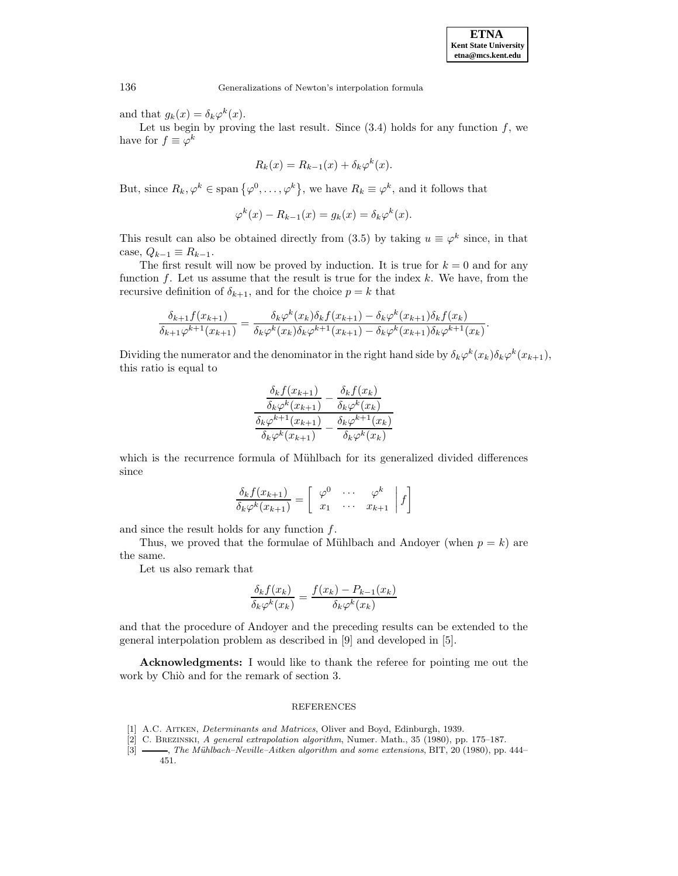.

136 Generalizations of Newton's interpolation formula

and that  $g_k(x) = \delta_k \varphi^k(x)$ .

Let us begin by proving the last result. Since  $(3.4)$  holds for any function  $f$ , we have for  $f \equiv \varphi^k$ 

$$
R_k(x) = R_{k-1}(x) + \delta_k \varphi^k(x).
$$

But, since  $R_k, \varphi^k \in \text{span}\{\varphi^0, \ldots, \varphi^k\},\$  we have  $R_k \equiv \varphi^k$ , and it follows that

$$
\varphi^k(x) - R_{k-1}(x) = g_k(x) = \delta_k \varphi^k(x).
$$

This result can also be obtained directly from (3.5) by taking  $u \equiv \varphi^k$  since, in that case,  $Q_{k-1} \equiv R_{k-1}$ .

The first result will now be proved by induction. It is true for  $k = 0$  and for any function f. Let us assume that the result is true for the index  $k$ . We have, from the recursive definition of  $\delta_{k+1}$ , and for the choice  $p = k$  that

$$
\frac{\delta_{k+1}f(x_{k+1})}{\delta_{k+1}\varphi^{k+1}(x_{k+1})} = \frac{\delta_k\varphi^k(x_k)\delta_k f(x_{k+1}) - \delta_k\varphi^k(x_{k+1})\delta_k f(x_k)}{\delta_k\varphi^k(x_k)\delta_k\varphi^{k+1}(x_{k+1}) - \delta_k\varphi^k(x_{k+1})\delta_k\varphi^{k+1}(x_k)}
$$

Dividing the numerator and the denominator in the right hand side by  $\delta_k \varphi^k(x_k) \delta_k \varphi^k(x_{k+1}),$ this ratio is equal to

$$
\frac{\frac{\delta_k f(x_{k+1})}{\delta_k \varphi^k(x_{k+1})} - \frac{\delta_k f(x_k)}{\delta_k \varphi^k(x_k)}}{\frac{\delta_k \varphi^{k+1}(x_{k+1})}{\delta_k \varphi^k(x_{k+1})} - \frac{\delta_k \varphi^{k+1}(x_k)}{\delta_k \varphi^k(x_k)}}
$$

which is the recurrence formula of Mühlbach for its generalized divided differences since

$$
\frac{\delta_k f(x_{k+1})}{\delta_k \varphi^k(x_{k+1})} = \begin{bmatrix} \varphi^0 & \cdots & \varphi^k \\ x_1 & \cdots & x_{k+1} \end{bmatrix} f
$$

and since the result holds for any function  $f$ .

Thus, we proved that the formulae of Mühlbach and Andoyer (when  $p = k$ ) are the same.

Let us also remark that

$$
\frac{\delta_k f(x_k)}{\delta_k \varphi^k(x_k)} = \frac{f(x_k) - P_{k-1}(x_k)}{\delta_k \varphi^k(x_k)}
$$

and that the procedure of Andoyer and the preceding results can be extended to the general interpolation problem as described in [9] and developed in [5].

**Acknowledgments:** I would like to thank the referee for pointing me out the work by Chiò and for the remark of section 3.

#### REFERENCES

- [1] A.C. AITKEN, *Determinants and Matrices*, Oliver and Boyd, Edinburgh, 1939.
- [2] C. Brezinski, A general extrapolation algorithm, Numer. Math., 35 (1980), pp. 175–187.
- [3]  $\longrightarrow$ , The Mühlbach–Neville–Aitken algorithm and some extensions, BIT, 20 (1980), pp. 444– 451.